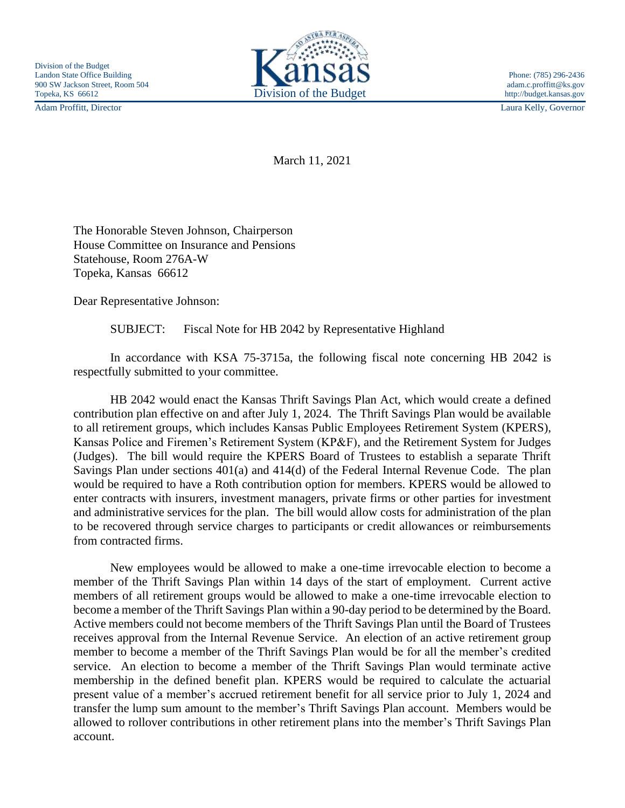Adam Proffitt, Director Laura Kelly, Governor



March 11, 2021

The Honorable Steven Johnson, Chairperson House Committee on Insurance and Pensions Statehouse, Room 276A-W Topeka, Kansas 66612

Dear Representative Johnson:

SUBJECT: Fiscal Note for HB 2042 by Representative Highland

In accordance with KSA 75-3715a, the following fiscal note concerning HB 2042 is respectfully submitted to your committee.

HB 2042 would enact the Kansas Thrift Savings Plan Act, which would create a defined contribution plan effective on and after July 1, 2024. The Thrift Savings Plan would be available to all retirement groups, which includes Kansas Public Employees Retirement System (KPERS), Kansas Police and Firemen's Retirement System (KP&F), and the Retirement System for Judges (Judges). The bill would require the KPERS Board of Trustees to establish a separate Thrift Savings Plan under sections 401(a) and 414(d) of the Federal Internal Revenue Code. The plan would be required to have a Roth contribution option for members. KPERS would be allowed to enter contracts with insurers, investment managers, private firms or other parties for investment and administrative services for the plan. The bill would allow costs for administration of the plan to be recovered through service charges to participants or credit allowances or reimbursements from contracted firms.

New employees would be allowed to make a one-time irrevocable election to become a member of the Thrift Savings Plan within 14 days of the start of employment. Current active members of all retirement groups would be allowed to make a one-time irrevocable election to become a member of the Thrift Savings Plan within a 90-day period to be determined by the Board. Active members could not become members of the Thrift Savings Plan until the Board of Trustees receives approval from the Internal Revenue Service. An election of an active retirement group member to become a member of the Thrift Savings Plan would be for all the member's credited service. An election to become a member of the Thrift Savings Plan would terminate active membership in the defined benefit plan. KPERS would be required to calculate the actuarial present value of a member's accrued retirement benefit for all service prior to July 1, 2024 and transfer the lump sum amount to the member's Thrift Savings Plan account. Members would be allowed to rollover contributions in other retirement plans into the member's Thrift Savings Plan account.